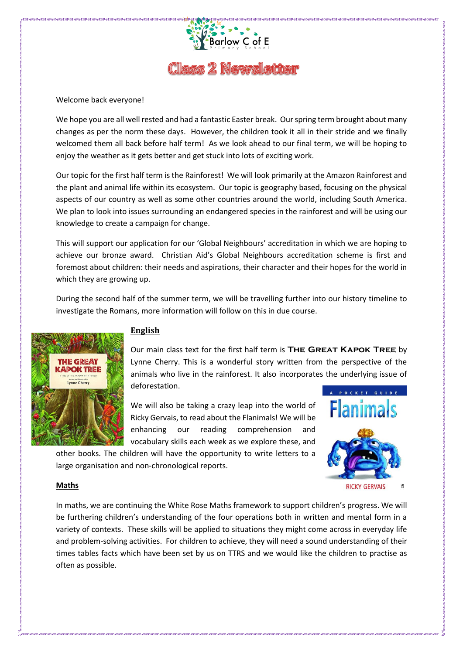

# **Class 2 Newsletter**

#### Welcome back everyone!

We hope you are all well rested and had a fantastic Easter break. Our spring term brought about many changes as per the norm these days. However, the children took it all in their stride and we finally welcomed them all back before half term! As we look ahead to our final term, we will be hoping to enjoy the weather as it gets better and get stuck into lots of exciting work.

Our topic for the first half term is the Rainforest! We will look primarily at the Amazon Rainforest and the plant and animal life within its ecosystem. Our topic is geography based, focusing on the physical aspects of our country as well as some other countries around the world, including South America. We plan to look into issues surrounding an endangered species in the rainforest and will be using our knowledge to create a campaign for change.

This will support our application for our 'Global Neighbours' accreditation in which we are hoping to achieve our bronze award. Christian Aid's Global Neighbours accreditation scheme is first and foremost about children: their needs and aspirations, their character and their hopes for the world in which they are growing up.

During the second half of the summer term, we will be travelling further into our history timeline to investigate the Romans, more information will follow on this in due course.



## **English**

Our main class text for the first half term is **The Great Kapok Tree** by Lynne Cherry. This is a wonderful story written from the perspective of the animals who live in the rainforest. It also incorporates the underlying issue of deforestation.

We will also be taking a crazy leap into the world of Ricky Gervais, to read about the Flanimals! We will be enhancing our reading comprehension and vocabulary skills each week as we explore these, and

other books. The children will have the opportunity to write letters to a large organisation and non-chronological reports.



#### **Maths**

In maths, we are continuing the White Rose Maths framework to support children's progress. We will be furthering children's understanding of the four operations both in written and mental form in a variety of contexts. These skills will be applied to situations they might come across in everyday life and problem-solving activities. For children to achieve, they will need a sound understanding of their times tables facts which have been set by us on TTRS and we would like the children to practise as often as possible.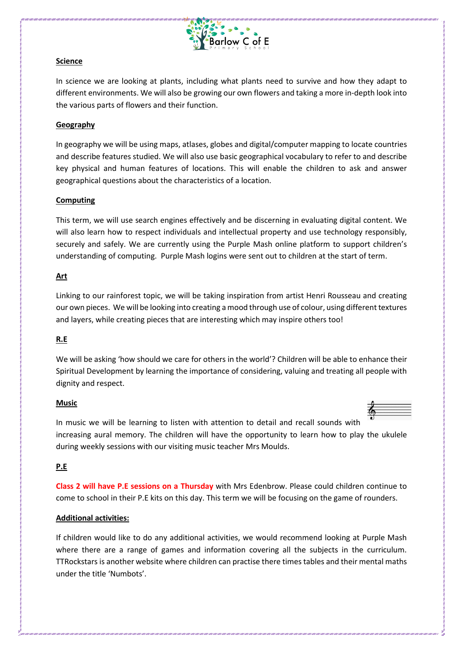

### **Science**

In science we are looking at plants, including what plants need to survive and how they adapt to different environments. We will also be growing our own flowers and taking a more in-depth look into the various parts of flowers and their function.

### **Geography**

In geography we will be using maps, atlases, globes and digital/computer mapping to locate countries and describe features studied. We will also use basic geographical vocabulary to refer to and describe key physical and human features of locations. This will enable the children to ask and answer geographical questions about the characteristics of a location.

#### **Computing**

This term, we will use search engines effectively and be discerning in evaluating digital content. We will also learn how to respect individuals and intellectual property and use technology responsibly, securely and safely. We are currently using the Purple Mash online platform to support children's understanding of computing. Purple Mash logins were sent out to children at the start of term.

#### **Art**

Linking to our rainforest topic, we will be taking inspiration from artist Henri Rousseau and creating our own pieces. We will be looking into creating a mood through use of colour, using different textures and layers, while creating pieces that are interesting which may inspire others too!

### **R.E**

We will be asking 'how should we care for others in the world'? Children will be able to enhance their Spiritual Development by learning the importance of considering, valuing and treating all people with dignity and respect.

#### **Music**



In music we will be learning to listen with attention to detail and recall sounds with increasing aural memory. The children will have the opportunity to learn how to play the ukulele during weekly sessions with our visiting music teacher Mrs Moulds.

#### **P.E**

**Class 2 will have P.E sessions on a Thursday** with Mrs Edenbrow. Please could children continue to come to school in their P.E kits on this day. This term we will be focusing on the game of rounders.

### **Additional activities:**

If children would like to do any additional activities, we would recommend looking at Purple Mash where there are a range of games and information covering all the subjects in the curriculum. TTRockstars is another website where children can practise there times tables and their mental maths under the title 'Numbots'.